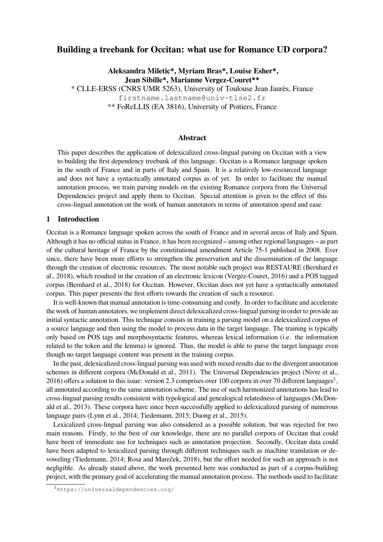# **Building a treebank for Occitan: what use for Romance UD corpora?**

**Aleksandra Miletic\*, Myriam Bras\*, Louise Esher\*, Jean Sibille\*, Marianne Vergez-Couret\*\***

\* CLLE-ERSS (CNRS UMR 5263), University of Toulouse Jean Jaurès, France firstname.lastname@univ-tlse2.fr \*\* FoReLLIS (EA 3816), University of Poitiers, France

### **Abstract**

This paper describes the application of delexicalized cross-lingual parsing on Occitan with a view to building the first dependency treebank of this language. Occitan is a Romance language spoken in the south of France and in parts of Italy and Spain. It is a relatively low-resourced language and does not have a syntactically annotated corpus as of yet. In order to facilitate the manual annotation process, we train parsing models on the existing Romance corpora from the Universal Dependencies project and apply them to Occitan. Special attention is given to the effect of this cross-lingual annotation on the work of human annotators in terms of annotation speed and ease.

### **1 Introduction**

Occitan is a Romance language spoken across the south of France and in several areas of Italy and Spain. Although it has no official status in France, it has been recognized – among other regional languages – as part of the cultural heritage of France by the constitutional amendment Article 75-1 published in 2008. Ever since, there have been more efforts to strengthen the preservation and the dissemination of the language through the creation of electronic resources. The most notable such project was RESTAURE (Bernhard et al., 2018), which resulted in the creation of an electronic lexicon (Vergez-Couret, 2016) and a POS tagged corpus (Bernhard et al., 2018) for Occitan. However, Occitan does not yet have a syntactically annotated corpus. This paper presents the first efforts towards the creation of such a resource.

It is well-known that manual annotation is time-consuming and costly. In order to facilitate and accelerate the work of human annotators, we implement direct delexicalized cross-lingual parsing in order to provide an initial syntactic annotation. This technique consists in training a parsing model on a delexicalized corpus of a source language and then using the model to process data in the target language. The training is typically only based on POS tags and morphosyntactic features, whereas lexical information (i.e. the information related to the token and the lemma) is ignored. Thus, the model is able to parse the target language even though no target language content was present in the training corpus.

In the past, delexicalized cross-lingual parsing was used with mixed results due to the divergent annotation schemes in different corpora (McDonald et al., 2011). The Universal Dependencies project (Nivre et al., 2016) offers a solution to this issue: version 2.3 comprises over 100 corpora in over 70 different languages<sup>1</sup>, all annotated according to the same annotation scheme. The use of such harmonized annotations has lead to cross-lingual parsing results consistent with typological and genealogical relatedness of languages (McDonald et al., 2013). These corpora have since been successfully applied to delexicalized parsing of numerous language pairs (Lynn et al., 2014; Tiedemann, 2015; Duong et al., 2015).

Lexicalized cross-lingual parsing was also considered as a possible solution, but was rejected for two main reasons. Firstly, to the best of our knowledge, there are no parallel corpora of Occitan that could have been of immediate use for techniques such as annotation projection. Secondly, Occitan data could have been adapted to lexicalized parsing through different techniques such as machine translation or devoweling (Tiedemann, 2014; Rosa and Mareček, 2018), but the effort needed for such an approach is not negligible. As already stated above, the work presented here was conducted as part of a corpus-building project, with the primary goal of accelerating the manual annotation process. The methods used to facilitate

<sup>1</sup>https://universaldependencies.org/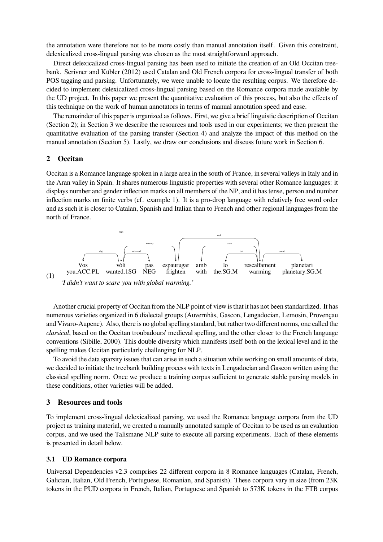the annotation were therefore not to be more costly than manual annotation itself. Given this constraint, delexicalized cross-lingual parsing was chosen as the most straightforward approach.

Direct delexicalized cross-lingual parsing has been used to initiate the creation of an Old Occitan treebank. Scrivner and Kübler (2012) used Catalan and Old French corpora for cross-lingual transfer of both POS tagging and parsing. Unfortunately, we were unable to locate the resulting corpus. We therefore decided to implement delexicalized cross-lingual parsing based on the Romance corpora made available by the UD project. In this paper we present the quantitative evaluation of this process, but also the effects of this technique on the work of human annotators in terms of manual annotation speed and ease.

The remainder of this paper is organized as follows. First, we give a brief linguistic description of Occitan (Section 2); in Section 3 we describe the resources and tools used in our experiments; we then present the quantitative evaluation of the parsing transfer (Section 4) and analyze the impact of this method on the manual annotation (Section 5). Lastly, we draw our conclusions and discuss future work in Section 6.

### **2 Occitan**

Occitan is a Romance language spoken in a large area in the south of France, in several valleys in Italy and in the Aran valley in Spain. It shares numerous linguistic properties with several other Romance languages: it displays number and gender inflection marks on all members of the NP, and it has tense, person and number inflection marks on finite verbs (cf. example 1). It is a pro-drop language with relatively free word order and as such it is closer to Catalan, Spanish and Italian than to French and other regional languages from the north of France.



Another crucial property of Occitan from the NLP point of view is that it has not been standardized. It has numerous varieties organized in 6 dialectal groups (Auvernhàs, Gascon, Lengadocian, Lemosin, Provençau and Vivaro-Aupenc). Also, there is no global spelling standard, but rather two different norms, one called the *classical*, based on the Occitan troubadours' medieval spelling, and the other closer to the French language conventions (Sibille, 2000). This double diversity which manifests itself both on the lexical level and in the spelling makes Occitan particularly challenging for NLP.

To avoid the data sparsity issues that can arise in such a situation while working on small amounts of data, we decided to initiate the treebank building process with texts in Lengadocian and Gascon written using the classical spelling norm. Once we produce a training corpus sufficient to generate stable parsing models in these conditions, other varieties will be added.

### **3 Resources and tools**

To implement cross-lingual delexicalized parsing, we used the Romance language corpora from the UD project as training material, we created a manually annotated sample of Occitan to be used as an evaluation corpus, and we used the Talismane NLP suite to execute all parsing experiments. Each of these elements is presented in detail below.

#### **3.1 UD Romance corpora**

Universal Dependencies v2.3 comprises 22 different corpora in 8 Romance languages (Catalan, French, Galician, Italian, Old French, Portuguese, Romanian, and Spanish). These corpora vary in size (from 23K tokens in the PUD corpora in French, Italian, Portuguese and Spanish to 573K tokens in the FTB corpus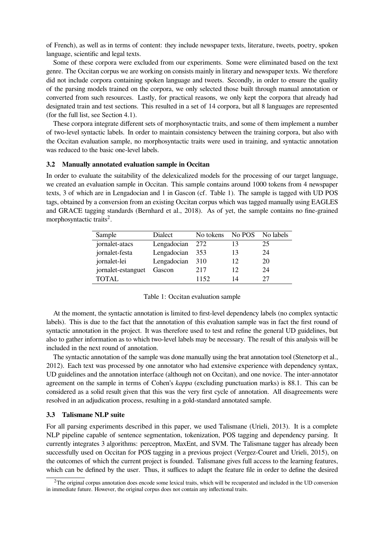of French), as well as in terms of content: they include newspaper texts, literature, tweets, poetry, spoken language, scientific and legal texts.

Some of these corpora were excluded from our experiments. Some were eliminated based on the text genre. The Occitan corpus we are working on consists mainly in literary and newspaper texts. We therefore did not include corpora containing spoken language and tweets. Secondly, in order to ensure the quality of the parsing models trained on the corpora, we only selected those built through manual annotation or converted from such resources. Lastly, for practical reasons, we only kept the corpora that already had designated train and test sections. This resulted in a set of 14 corpora, but all 8 languages are represented (for the full list, see Section 4.1).

These corpora integrate different sets of morphosyntactic traits, and some of them implement a number of two-level syntactic labels. In order to maintain consistency between the training corpora, but also with the Occitan evaluation sample, no morphosyntactic traits were used in training, and syntactic annotation was reduced to the basic one-level labels.

#### **3.2 Manually annotated evaluation sample in Occitan**

In order to evaluate the suitability of the delexicalized models for the processing of our target language, we created an evaluation sample in Occitan. This sample contains around 1000 tokens from 4 newspaper texts, 3 of which are in Lengadocian and 1 in Gascon (cf. Table 1). The sample is tagged with UD POS tags, obtained by a conversion from an existing Occitan corpus which was tagged manually using EAGLES and GRACE tagging standards (Bernhard et al., 2018). As of yet, the sample contains no fine-grained morphosyntactic traits<sup>2</sup>.

| Sample             | Dialect     | No tokens |    | No POS No labels |
|--------------------|-------------|-----------|----|------------------|
| jornalet-atacs     | Lengadocian | 272       |    | 25               |
| jornalet-festa     | Lengadocian | 353       | 13 | 24               |
| jornalet-lei       | Lengadocian | 310       | 12 | 20               |
| jornalet-estanguet | Gascon      | 217       | 12 | 24               |
| <b>TOTAL</b>       |             | 1152      | 14 | 27               |

|  |  | Table 1: Occitan evaluation sample |  |
|--|--|------------------------------------|--|
|--|--|------------------------------------|--|

At the moment, the syntactic annotation is limited to first-level dependency labels (no complex syntactic labels). This is due to the fact that the annotation of this evaluation sample was in fact the first round of syntactic annotation in the project. It was therefore used to test and refine the general UD guidelines, but also to gather information as to which two-level labels may be necessary. The result of this analysis will be included in the next round of annotation.

The syntactic annotation of the sample was done manually using the brat annotation tool (Stenetorp et al., 2012). Each text was processed by one annotator who had extensive experience with dependency syntax, UD guidelines and the annotation interface (although not on Occitan), and one novice. The inter-annotator agreement on the sample in terms of Cohen's *kappa* (excluding punctuation marks) is 88.1. This can be considered as a solid result given that this was the very first cycle of annotation. All disagreements were resolved in an adjudication process, resulting in a gold-standard annotated sample.

#### **3.3 Talismane NLP suite**

For all parsing experiments described in this paper, we used Talismane (Urieli, 2013). It is a complete NLP pipeline capable of sentence segmentation, tokenization, POS tagging and dependency parsing. It currently integrates 3 algorithms: perceptron, MaxEnt, and SVM. The Talismane tagger has already been successfully used on Occitan for POS tagging in a previous project (Vergez-Couret and Urieli, 2015), on the outcomes of which the current project is founded. Talismane gives full access to the learning features, which can be defined by the user. Thus, it suffices to adapt the feature file in order to define the desired

 $2$ The original corpus annotation does encode some lexical traits, which will be recuperated and included in the UD conversion in immediate future. However, the original corpus does not contain any inflectional traits.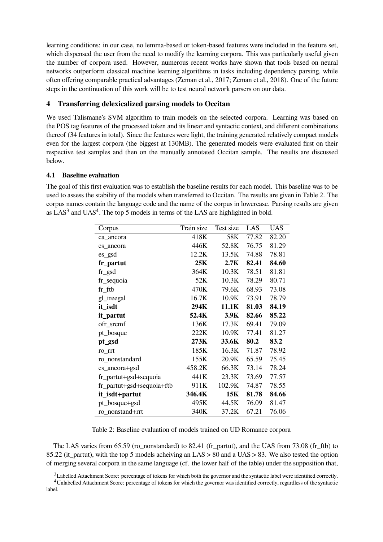learning conditions: in our case, no lemma-based or token-based features were included in the feature set, which dispensed the user from the need to modify the learning corpora. This was particularly useful given the number of corpora used. However, numerous recent works have shown that tools based on neural networks outperform classical machine learning algorithms in tasks including dependency parsing, while often offering comparable practical advantages (Zeman et al., 2017; Zeman et al., 2018). One of the future steps in the continuation of this work will be to test neural network parsers on our data.

# **4 Transferring delexicalized parsing models to Occitan**

We used Talismane's SVM algorithm to train models on the selected corpora. Learning was based on the POS tag features of the processed token and its linear and syntactic context, and different combinations thereof (34 features in total). Since the features were light, the training generated relatively compact models even for the largest corpora (the biggest at 130MB). The generated models were evaluated first on their respective test samples and then on the manually annotated Occitan sample. The results are discussed below.

# **4.1 Baseline evaluation**

The goal of this first evaluation was to establish the baseline results for each model. This baseline was to be used to assess the stability of the models when transferred to Occitan. The results are given in Table 2. The corpus names contain the language code and the name of the corpus in lowercase. Parsing results are given as  $LAS<sup>3</sup>$  and  $UAS<sup>4</sup>$ . The top 5 models in terms of the LAS are highlighted in bold.

| Corpus                    | Train size | Test size | LAS   | <b>UAS</b> |
|---------------------------|------------|-----------|-------|------------|
| ca ancora                 | 418K       | 58K       | 77.82 | 82.20      |
| es ancora                 | 446K       | 52.8K     | 76.75 | 81.29      |
| es_gsd                    | 12.2K      | 13.5K     | 74.88 | 78.81      |
| fr_partut                 | 25K        | 2.7K      | 82.41 | 84.60      |
| $fr\_gsd$                 | 364K       | 10.3K     | 78.51 | 81.81      |
| fr_sequoia                | 52K        | 10.3K     | 78.29 | 80.71      |
| $fr_f$ ftb                | 470K       | 79.6K     | 68.93 | 73.08      |
| gl_treegal                | 16.7K      | 10.9K     | 73.91 | 78.79      |
| it_isdt                   | 294K       | 11.1K     | 81.03 | 84.19      |
| it_partut                 | 52.4K      | 3.9K      | 82.66 | 85.22      |
| ofr_srcmf                 | 136K       | 17.3K     | 69.41 | 79.09      |
| pt_bosque                 | 222K       | 10.9K     | 77.41 | 81.27      |
| pt_gsd                    | 273K       | 33.6K     | 80.2  | 83.2       |
| ro_rrt                    | 185K       | 16.3K     | 71.87 | 78.92      |
| ro_nonstandard            | 155K       | 20.9K     | 65.59 | 75.45      |
| es_ancora+gsd             | 458.2K     | 66.3K     | 73.14 | 78.24      |
| fr_partut+gsd+sequoia     | 441K       | 23.3K     | 73.69 | 77.57      |
| fr_partut+gsd+sequoia+ftb | 911K       | 102.9K    | 74.87 | 78.55      |
| it_isdt+partut            | 346.4K     | 15K       | 81.78 | 84.66      |
| pt_bosque+gsd             | 495K       | 44.5K     | 76.09 | 81.47      |
| ro nonstand+rrt           | 340K       | 37.2K     | 67.21 | 76.06      |

Table 2: Baseline evaluation of models trained on UD Romance corpora

The LAS varies from 65.59 (ro\_nonstandard) to 82.41 (fr\_partut), and the UAS from 73.08 (fr\_ftb) to 85.22 (it partut), with the top 5 models acheiving an LAS  $> 80$  and a UAS  $> 83$ . We also tested the option of merging several corpora in the same language (cf. the lower half of the table) under the supposition that,

 $3$ Labelled Attachment Score: percentage of tokens for which both the governor and the syntactic label were identified correctly.

<sup>4</sup>Unlabelled Attachment Score: percentage of tokens for which the governor was identified correctly, regardless of the syntactic label.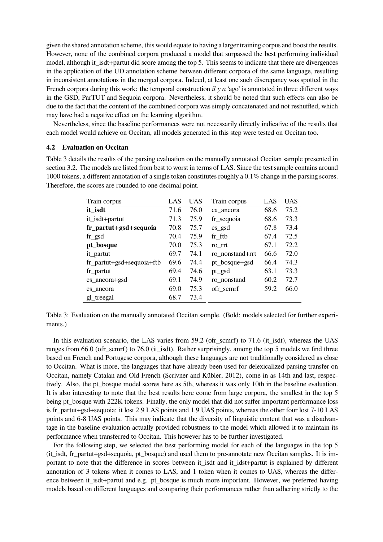given the shared annotation scheme, this would equate to having a larger training corpus and boost the results. However, none of the combined corpora produced a model that surpassed the best performing individual model, although it isdt+partut did score among the top 5. This seems to indicate that there are divergences in the application of the UD annotation scheme between different corpora of the same language, resulting in inconsistent annotations in the merged corpora. Indeed, at least one such discrepancy was spotted in the French corpora during this work: the temporal construction *il y a* 'ago' is annotated in three different ways in the GSD, ParTUT and Sequoia corpora. Nevertheless, it should be noted that such effects can also be due to the fact that the content of the combined corpora was simply concatenated and not reshuffled, which may have had a negative effect on the learning algorithm.

Nevertheless, since the baseline performances were not necessarily directly indicative of the results that each model would achieve on Occitan, all models generated in this step were tested on Occitan too.

#### **4.2 Evaluation on Occitan**

Table 3 details the results of the parsing evaluation on the manually annotated Occitan sample presented in section 3.2. The models are listed from best to worst in terms of LAS. Since the test sample contains around 1000 tokens, a different annotation of a single token constitutes roughly a 0.1% change in the parsing scores. Therefore, the scores are rounded to one decimal point.

| Train corpus                 | LAS  | <b>UAS</b> | Train corpus    | LAS  | <b>UAS</b> |
|------------------------------|------|------------|-----------------|------|------------|
| it_isdt                      | 71.6 | 76.0       | ca_ancora       | 68.6 | 75.2       |
| it_isdt+partut               | 71.3 | 75.9       | fr_sequoia      | 68.6 | 73.3       |
| fr_partut+gsd+sequoia        | 70.8 | 75.7       | es_gsd          | 67.8 | 73.4       |
| $fr\_gsd$                    | 70.4 | 75.9       | fr ftb          | 67.4 | 72.5       |
| pt_bosque                    | 70.0 | 75.3       | ro rrt          | 67.1 | 72.2       |
| it_partut                    | 69.7 | 74.1       | ro nonstand+rrt | 66.6 | 72.0       |
| $fr$ _partut+gsd+sequoia+ftb | 69.6 | 74.4       | pt_bosque+gsd   | 66.4 | 74.3       |
| fr_partut                    | 69.4 | 74.6       | pt_gsd          | 63.1 | 73.3       |
| es_ancora+gsd                | 69.1 | 74.9       | ro nonstand     | 60.2 | 72.7       |
| es ancora                    | 69.0 | 75.3       | ofr scmrf       | 59.2 | 66.0       |
| gl_treegal                   | 68.7 | 73.4       |                 |      |            |

Table 3: Evaluation on the manually annotated Occitan sample. (Bold: models selected for further experiments.)

In this evaluation scenario, the LAS varies from 59.2 (ofr\_scmrf) to 71.6 (it\_isdt), whereas the UAS ranges from 66.0 (ofr\_scmrf) to 76.0 (it\_isdt). Rather surprisingly, among the top 5 models we find three based on French and Portugese corpora, although these languages are not traditionally considered as close to Occitan. What is more, the languages that have already been used for delexicalized parsing transfer on Occitan, namely Catalan and Old French (Scrivner and Kübler, 2012), come in as 14th and last, respectively. Also, the pt\_bosque model scores here as 5th, whereas it was only 10th in the baseline evaluation. It is also interesting to note that the best results here come from large corpora, the smallest in the top 5 being pt\_bosque with 222K tokens. Finally, the only model that did not suffer important performance loss is fr\_partut+gsd+sequoia: it lost 2.9 LAS points and 1.9 UAS points, whereas the other four lost 7-10 LAS points and 6-8 UAS points. This may indicate that the diversity of linguistic content that was a disadvantage in the baseline evaluation actually provided robustness to the model which allowed it to maintain its performance when transferred to Occitan. This however has to be further investigated.

For the following step, we selected the best performing model for each of the languages in the top 5 (it\_isdt, fr\_partut+gsd+sequoia, pt\_bosque) and used them to pre-annotate new Occitan samples. It is important to note that the difference in scores between it isdt and it idst+partut is explained by different annotation of 3 tokens when it comes to LAS, and 1 token when it comes to UAS, whereas the difference between it isdt+partut and e.g. pt\_bosque is much more important. However, we preferred having models based on different languages and comparing their performances rather than adhering strictly to the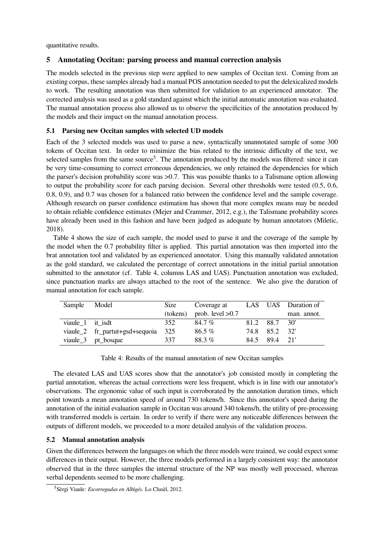quantitative results.

## **5 Annotating Occitan: parsing process and manual correction analysis**

The models selected in the previous step were applied to new samples of Occitan text. Coming from an existing corpus, these samples already had a manual POS annotation needed to put the delexicalized models to work. The resulting annotation was then submitted for validation to an experienced annotator. The corrected analysis was used as a gold standard against which the initial automatic annotation was evaluated. The manual annotation process also allowed us to observe the specificities of the annotation produced by the models and their impact on the manual annotation process.

## **5.1 Parsing new Occitan samples with selected UD models**

Each of the 3 selected models was used to parse a new, syntactically unannotated sample of some 300 tokens of Occitan text. In order to minimize the bias related to the intrinsic difficulty of the text, we selected samples from the same source<sup>5</sup>. The annotation produced by the models was filtered: since it can be very time-consuming to correct erroneous dependencies, we only retained the dependencies for which the parser's decision probability score was >0.7. This was possible thanks to a Talismane option allowing to output the probability score for each parsing decision. Several other thresholds were tested (0.5, 0.6, 0.8, 0.9), and 0.7 was chosen for a balanced ratio between the confidence level and the sample coverage. Although research on parser confidence estimation has shown that more complex means may be needed to obtain reliable confidence estimates (Mejer and Crammer, 2012, e.g.), the Talismane probability scores have already been used in this fashion and have been judged as adequate by human annotators (Miletic, 2018).

Table 4 shows the size of each sample, the model used to parse it and the coverage of the sample by the model when the 0.7 probability filter is applied. This partial annotation was then imported into the brat annotation tool and validated by an experienced annotator. Using this manually validated annotation as the gold standard, we calculated the percentage of correct annotations in the initial partial annotation submitted to the annotator (cf. Table 4, columns LAS and UAS). Punctuation annotation was excluded, since punctuation marks are always attached to the root of the sentence. We also give the duration of manual annotation for each sample.

| Sample           | Model                              | Size     | Coverage at        |      |              | LAS UAS Duration of |
|------------------|------------------------------------|----------|--------------------|------|--------------|---------------------|
|                  |                                    | (tokens) | prob. level $>0.7$ |      |              | man. annot.         |
| viaule 1 it isdt |                                    | 352      | 84.7%              |      | 81.2 88.7 30 |                     |
|                  | viaule_2 fr_partut+gsd+sequoia 325 |          | $86.5\%$           |      | 74.8 85.2 32 |                     |
|                  | viaule_3 pt_bosque                 | 337      | 88.3%              | 84.5 | $89.4$ 21'   |                     |

| Table 4: Results of the manual annotation of new Occitan samples |  |  |  |
|------------------------------------------------------------------|--|--|--|
|------------------------------------------------------------------|--|--|--|

The elevated LAS and UAS scores show that the annotator's job consisted mostly in completing the partial annotation, whereas the actual corrections were less frequent, which is in line with our annotator's observations. The ergonomic value of such input is corroborated by the annotation duration times, which point towards a mean annotation speed of around 730 tokens/h. Since this annotator's speed during the annotation of the initial evaluation sample in Occitan was around 340 tokens/h, the utility of pre-processing with transferred models is certain. In order to verify if there were any noticeable differences between the outputs of different models, we proceeded to a more detailed analysis of the validation process.

## **5.2 Manual annotation analysis**

Given the differences between the languages on which the three models were trained, we could expect some differences in their output. However, the three models performed in a largely consistent way: the annotator observed that in the three samples the internal structure of the NP was mostly well processed, whereas verbal dependents seemed to be more challenging.

<sup>5</sup>Sèrgi Viaule: *Escorregudas en Albigés*. Lo Clusèl, 2012.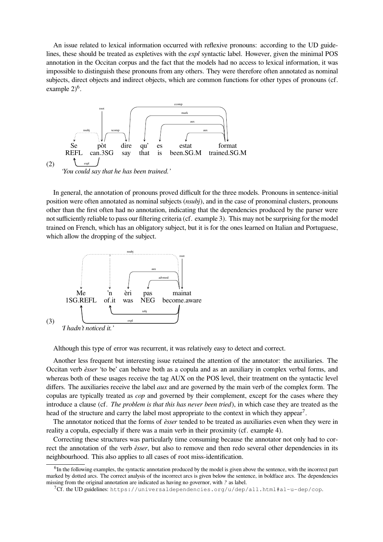An issue related to lexical information occurred with reflexive pronouns: according to the UD guidelines, these should be treated as expletives with the *expl* syntactic label. However, given the minimal POS annotation in the Occitan corpus and the fact that the models had no access to lexical information, it was impossible to distinguish these pronouns from any others. They were therefore often annotated as nominal subjects, direct objects and indirect objects, which are common functions for other types of pronouns (cf. example  $2)^6$ .



In general, the annotation of pronouns proved difficult for the three models. Pronouns in sentence-initial position were often annotated as nominal subjects (*nsubj*), and in the case of pronominal clusters, pronouns other than the first often had no annotation, indicating that the dependencies produced by the parser were not sufficiently reliable to pass our filtering criteria (cf. example 3). This may not be surprising for the model trained on French, which has an obligatory subject, but it is for the ones learned on Italian and Portuguese, which allow the dropping of the subject.



Although this type of error was recurrent, it was relatively easy to detect and correct.

Another less frequent but interesting issue retained the attention of the annotator: the auxiliaries. The Occitan verb *èsser* 'to be' can behave both as a copula and as an auxiliary in complex verbal forms, and whereas both of these usages receive the tag AUX on the POS level, their treatment on the syntactic level differs. The auxiliaries receive the label *aux* and are governed by the main verb of the complex form. The copulas are typically treated as *cop* and governed by their complement, except for the cases where they introduce a clause (cf. *The problem is that this has never been tried*), in which case they are treated as the head of the structure and carry the label most appropriate to the context in which they appear<sup>7</sup>.

The annotator noticed that the forms of *èsser* tended to be treated as auxiliaries even when they were in reality a copula, especially if there was a main verb in their proximity (cf. example 4).

Correcting these structures was particularly time consuming because the annotator not only had to correct the annotation of the verb *èsser*, but also to remove and then redo several other dependencies in its neighbourhood. This also applies to all cases of root miss-identification.

<sup>&</sup>lt;sup>6</sup>In the following examples, the syntactic annotation produced by the model is given above the sentence, with the incorrect part marked by dotted arcs. The correct analysis of the incorrect arcs is given below the sentence, in boldface arcs. The dependencies missing from the original annotation are indicated as having no governor, with *?* as label.

<sup>7</sup>Cf. the UD guidelines: https://universaldependencies.org/u/dep/all.html#al-u-dep/cop.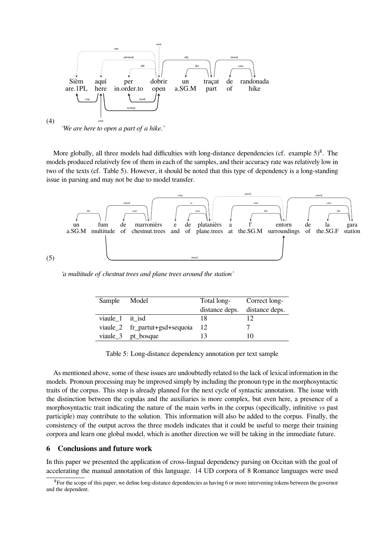

More globally, all three models had difficulties with long-distance dependencies (cf. example  $5)^8$ . The models produced relatively few of them in each of the samples, and their accuracy rate was relatively low in two of the texts (cf. Table 5). However, it should be noted that this type of dependency is a long-standing issue in parsing and may not be due to model transfer.



*'a multitude of chestnut trees and plane trees around the station'*

| Sample Model    |                                | Total long-<br>distance deps. distance deps. | Correct long- |
|-----------------|--------------------------------|----------------------------------------------|---------------|
| viaule 1 it isd |                                | 18                                           | 12            |
|                 | viaule_2 fr_partut+gsd+sequoia | - 12                                         |               |
|                 | viaule_3 pt_bosque             | 13                                           | 10            |

Table 5: Long-distance dependency annotation per text sample

As mentioned above, some of these issues are undoubtedly related to the lack of lexical information in the models. Pronoun processing may be improved simply by including the pronoun type in the morphosyntactic traits of the corpus. This step is already planned for the next cycle of syntactic annotation. The issue with the distinction between the copulas and the auxiliaries is more complex, but even here, a presence of a morphosyntactic trait indicating the nature of the main verbs in the corpus (specifically, infinitive *vs* past participle) may contribute to the solution. This information will also be added to the corpus. Finally, the consistency of the output across the three models indicates that it could be useful to merge their training corpora and learn one global model, which is another direction we will be taking in the immediate future.

### **6 Conclusions and future work**

In this paper we presented the application of cross-lingual dependency parsing on Occitan with the goal of accelerating the manual annotation of this language. 14 UD corpora of 8 Romance languages were used

<sup>&</sup>lt;sup>8</sup>For the scope of this paper, we define long-distance dependencies as having 6 or more intervening tokens between the governor and the dependent.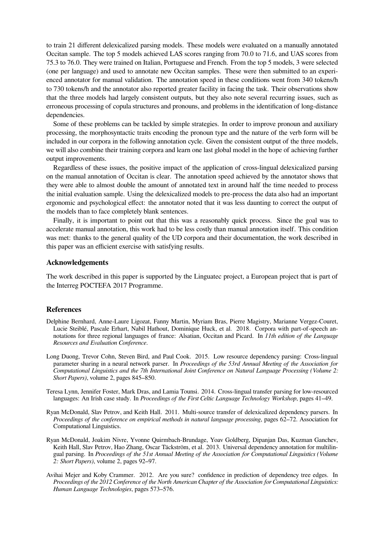to train 21 different delexicalized parsing models. These models were evaluated on a manually annotated Occitan sample. The top 5 models achieved LAS scores ranging from 70.0 to 71.6, and UAS scores from 75.3 to 76.0. They were trained on Italian, Portuguese and French. From the top 5 models, 3 were selected (one per language) and used to annotate new Occitan samples. These were then submitted to an experienced annotator for manual validation. The annotation speed in these conditions went from 340 tokens/h to 730 tokens/h and the annotator also reported greater facility in facing the task. Their observations show that the three models had largely consistent outputs, but they also note several recurring issues, such as erroneous processing of copula structures and pronouns, and problems in the identification of long-distance dependencies.

Some of these problems can be tackled by simple strategies. In order to improve pronoun and auxiliary processing, the morphosyntactic traits encoding the pronoun type and the nature of the verb form will be included in our corpora in the following annotation cycle. Given the consistent output of the three models, we will also combine their training corpora and learn one last global model in the hope of achieving further output improvements.

Regardless of these issues, the positive impact of the application of cross-lingual delexicalized parsing on the manual annotation of Occitan is clear. The annotation speed achieved by the annotator shows that they were able to almost double the amount of annotated text in around half the time needed to process the initial evaluation sample. Using the delexicalized models to pre-process the data also had an important ergonomic and psychological effect: the annotator noted that it was less daunting to correct the output of the models than to face completely blank sentences.

Finally, it is important to point out that this was a reasonably quick process. Since the goal was to accelerate manual annotation, this work had to be less costly than manual annotation itself. This condition was met: thanks to the general quality of the UD corpora and their documentation, the work described in this paper was an efficient exercise with satisfying results.

### **Acknowledgements**

The work described in this paper is supported by the Linguatec project, a European project that is part of the Interreg POCTEFA 2017 Programme.

## **References**

- Delphine Bernhard, Anne-Laure Ligozat, Fanny Martin, Myriam Bras, Pierre Magistry, Marianne Vergez-Couret, Lucie Steiblé, Pascale Erhart, Nabil Hathout, Dominique Huck, et al. 2018. Corpora with part-of-speech annotations for three regional languages of france: Alsatian, Occitan and Picard. In *11th edition of the Language Resources and Evaluation Conference*.
- Long Duong, Trevor Cohn, Steven Bird, and Paul Cook. 2015. Low resource dependency parsing: Cross-lingual parameter sharing in a neural network parser. In *Proceedings of the 53rd Annual Meeting of the Association for Computational Linguistics and the 7th International Joint Conference on Natural Language Processing (Volume 2: Short Papers)*, volume 2, pages 845–850.
- Teresa Lynn, Jennifer Foster, Mark Dras, and Lamia Tounsi. 2014. Cross-lingual transfer parsing for low-resourced languages: An Irish case study. In *Proceedings of the First Celtic Language Technology Workshop*, pages 41–49.
- Ryan McDonald, Slav Petrov, and Keith Hall. 2011. Multi-source transfer of delexicalized dependency parsers. In *Proceedings of the conference on empirical methods in natural language processing*, pages 62–72. Association for Computational Linguistics.
- Ryan McDonald, Joakim Nivre, Yvonne Quirmbach-Brundage, Yoav Goldberg, Dipanjan Das, Kuzman Ganchev, Keith Hall, Slav Petrov, Hao Zhang, Oscar Täckström, et al. 2013. Universal dependency annotation for multilingual parsing. In *Proceedings of the 51st Annual Meeting of the Association for Computational Linguistics (Volume 2: Short Papers)*, volume 2, pages 92–97.
- Avihai Mejer and Koby Crammer. 2012. Are you sure? confidence in prediction of dependency tree edges. In *Proceedings of the 2012 Conference of the North American Chapter of the Association for Computational Linguistics: Human Language Technologies*, pages 573–576.